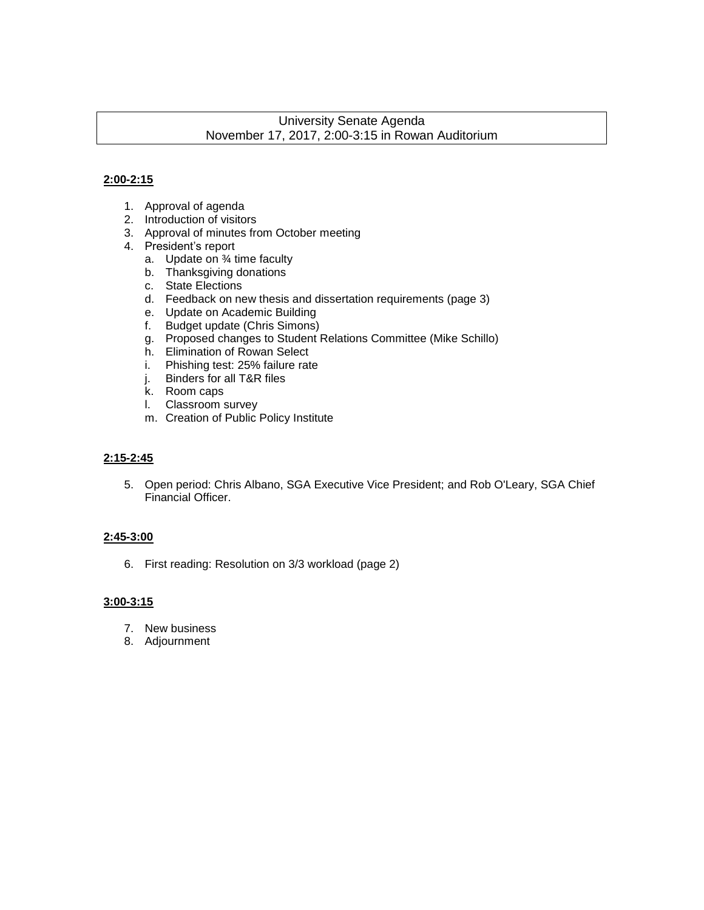## University Senate Agenda November 17, 2017, 2:00-3:15 in Rowan Auditorium

#### **2:00-2:15**

- 1. Approval of agenda
- 2. Introduction of visitors
- 3. Approval of minutes from October meeting
- 4. President's report
	- a. Update on ¾ time faculty
	- b. Thanksgiving donations
	- c. State Elections
	- d. Feedback on new thesis and dissertation requirements (page 3)
	- e. Update on Academic Building
	- f. Budget update (Chris Simons)
	- g. Proposed changes to Student Relations Committee (Mike Schillo)
	- h. Elimination of Rowan Select
	- i. Phishing test: 25% failure rate
	- j. Binders for all T&R files
	- k. Room caps
	- l. Classroom survey
	- m. Creation of Public Policy Institute

#### **2:15-2:45**

5. Open period: Chris Albano, SGA Executive Vice President; and Rob O'Leary, SGA Chief Financial Officer.

#### **2:45-3:00**

6. First reading: Resolution on 3/3 workload (page 2)

### **3:00-3:15**

- 7. New business
- 8. Adjournment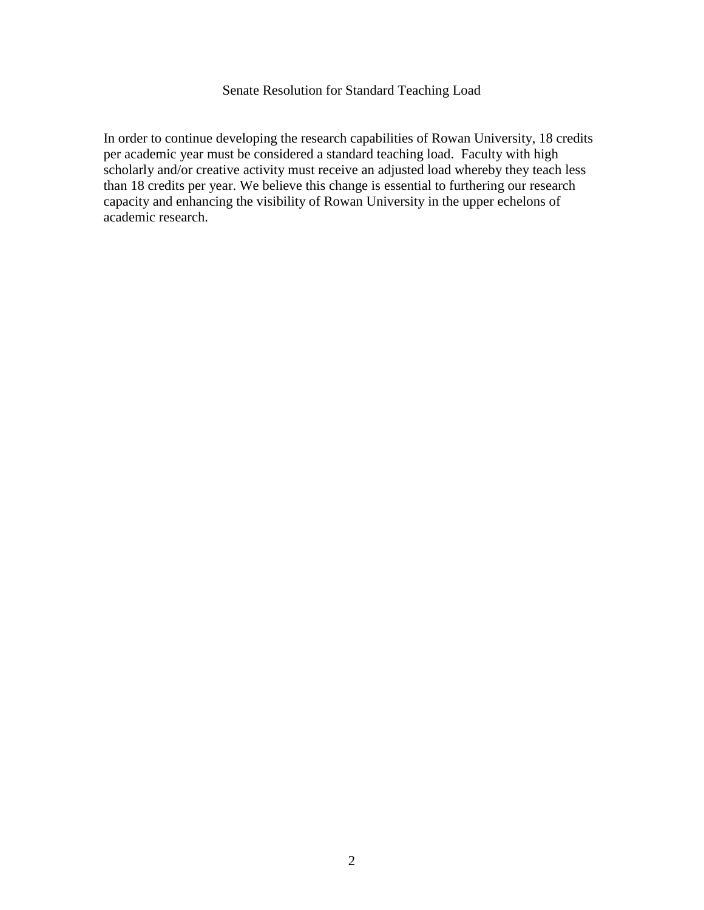# Senate Resolution for Standard Teaching Load

In order to continue developing the research capabilities of Rowan University, 18 credits per academic year must be considered a standard teaching load. Faculty with high scholarly and/or creative activity must receive an adjusted load whereby they teach less than 18 credits per year. We believe this change is essential to furthering our research capacity and enhancing the visibility of Rowan University in the upper echelons of academic research.